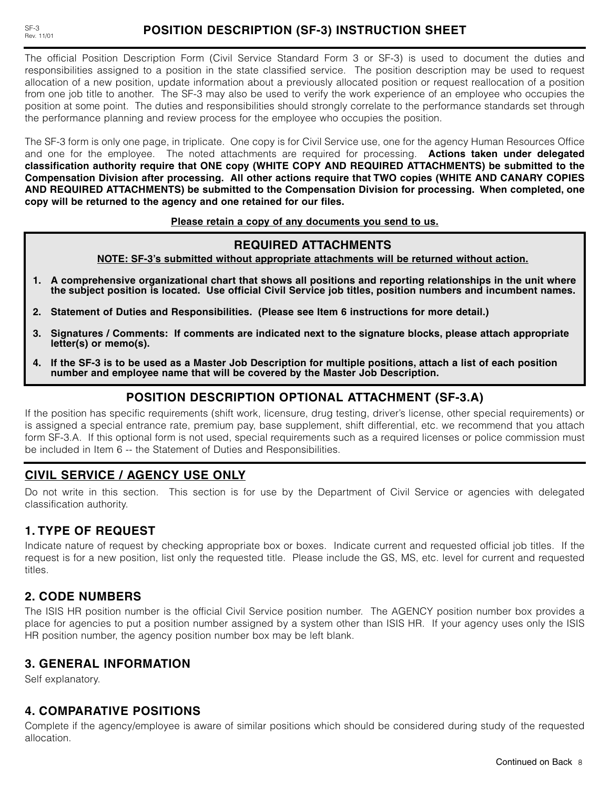The official Position Description Form (Civil Service Standard Form 3 or SF-3) is used to document the duties and responsibilities assigned to a position in the state classified service. The position description may be used to request allocation of a new position, update information about a previously allocated position or request reallocation of a position from one job title to another. The SF-3 may also be used to verify the work experience of an employee who occupies the position at some point. The duties and responsibilities should strongly correlate to the performance standards set through the performance planning and review process for the employee who occupies the position.

The SF-3 form is only one page, in triplicate. One copy is for Civil Service use, one for the agency Human Resources Office and one for the employee. The noted attachments are required for processing. **Actions taken under delegated classification authority require that ONE copy (WHITE COPY AND REQUIRED ATTACHMENTS) be submitted to the Compensation Division after processing. All other actions require that TWO copies (WHITE AND CANARY COPIES AND REQUIRED ATTACHMENTS) be submitted to the Compensation Division for processing. When completed, one copy will be returned to the agency and one retained for our files.**

#### **Please retain a copy of any documents you send to us.**

## **REQUIRED ATTACHMENTS**

**NOTE: SF-3's submitted without appropriate attachments will be returned without action.**

- **1. A comprehensive organizational chart that shows all positions and reporting relationships in the unit where the subject position is located. Use official Civil Service job titles, position numbers and incumbent names.**
- **2. Statement of Duties and Responsibilities. (Please see Item 6 instructions for more detail.)**
- **3. Signatures / Comments: If comments are indicated next to the signature blocks, please attach appropriate letter(s) or memo(s).**
- **4. If the SF-3 is to be used as a Master Job Description for multiple positions, attach a list of each position number and employee name that will be covered by the Master Job Description.**

## **POSITION DESCRIPTION OPTIONAL ATTACHMENT (SF-3.A)**

If the position has specific requirements (shift work, licensure, drug testing, driver's license, other special requirements) or is assigned a special entrance rate, premium pay, base supplement, shift differential, etc. we recommend that you attach form SF-3.A. If this optional form is not used, special requirements such as a required licenses or police commission must be included in Item 6 -- the Statement of Duties and Responsibilities.

# **CIVIL SERVICE / AGENCY USE ONLY**

Do not write in this section. This section is for use by the Department of Civil Service or agencies with delegated classification authority.

# **1. TYPE OF REQUEST**

Indicate nature of request by checking appropriate box or boxes. Indicate current and requested official job titles. If the request is for a new position, list only the requested title. Please include the GS, MS, etc. level for current and requested titles.

# **2. CODE NUMBERS**

The ISIS HR position number is the official Civil Service position number. The AGENCY position number box provides a place for agencies to put a position number assigned by a system other than ISIS HR. If your agency uses only the ISIS HR position number, the agency position number box may be left blank.

## **3. GENERAL INFORMATION**

Self explanatory.

# **4. COMPARATIVE POSITIONS**

Complete if the agency/employee is aware of similar positions which should be considered during study of the requested allocation.